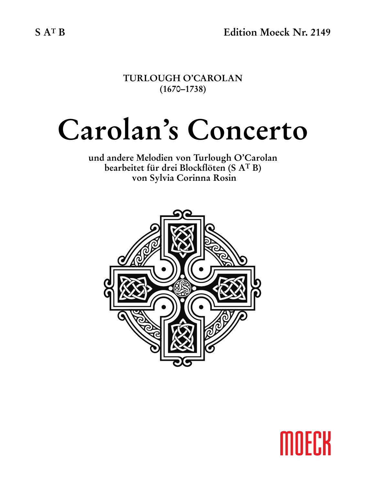**TURLOUGH O'CAROLAN (1670–1738)**

# **Carolan's Concerto**

**und andere Melodien von Turlough O'Carolan bearbeitet für drei Blockflöten (S AT B) von Sylvia Corinna Rosin**



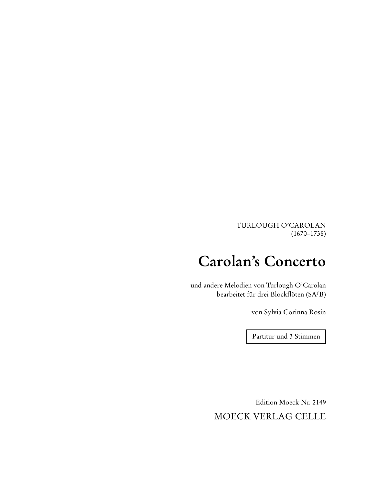TURLOUGH O'CAROLAN (1670–1738)

# **Carolan's Concerto**

und andere Melodien von Turlough O'Carolan bearbeitet für drei Blockflöten (SATB)

von Sylvia Corinna Rosin

Partitur und 3 Stimmen

Edition Moeck Nr. 2149 MOECK VERLAG CELLE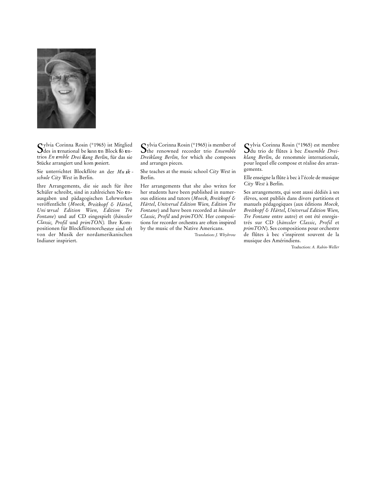

 ${\mathbf S}$ ylvia Corinna Rosin (\*1965) ist Mitglied<br> ${\mathbf S}$ des in trnational be lann en Block fö entrios *En semble Drei klang Berlin*, für das sie Stücke arrangiert und kom poniert.

Sie unterrichtet Blockflöte an der *Mu sik schule City West* in Berlin.

Ihre Arrangements, die sie auch für ihre Schüler schreibt, sind in zahlreichen No enausgaben und pädagogischen Lehrwerken veröffentlicht (*Moeck, Breitkopf & Härtel*, *Uni versal Edition Wien, Edition Tre Fontane*) und auf CD eingespielt (*hänssler Classic, Profil* und *primTON).* Ihre Kompositionen für Blockflötenorchester sind oft von der Musik der nordamerikanischen Indianer inspiriert.

Sylvia Corinna Rosin (\*1965) is member of<br>The renowned recorder trio *Ensemble Dreiklang Berlin*, for which she composes and arranges pieces.

She teaches at the music school *City West* in Berlin.

Her arrangements that she also writes for her students have been published in numerous editions and tutors (*Moeck, Breitkopf & Härtel*, *Universal Edition Wien, Edition Tre Fontane*) and have been recorded at *hänssler Classic, Profil* and *primTON.* Her compositions for recorder orchestra are often inspired by the music of the Native Americans.

Translation: *J. Whybrow*

Sylvia Corinna Rosin (\*1965) est membre du trio de flûtes à bec *Ensemble Drei k lang Berlin*, de renommée internationale, pour lequel elle compose et réalise des arrangements.

Elle enseigne la flûte à bec à l'école de musique *City West* à Berlin.

Ses arrangements, qui sont aussi dédiés à ses élèves, sont publiés dans divers partitions et manuels pédagogiques (aux éditions *Moeck, Breit kopf & Härtel*, *Universal Edition Wien, Tre Fontane* entre autre) et ont été enregistrés sur CD (*hänssler Classic*, *Profil* et *primTON*). Ses compositions pour orchestre de flûtes à bec s'inspirent souvent de la musique des Amérindiens.

Traduction: *A. Rabin-Weller*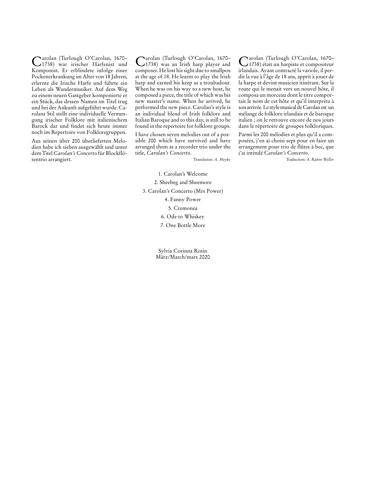Carolan (Turlough O'Carolan, 1670– 1738) war irischer Harfenist und Komponist. Er erblindete infolge einer Pockenerkrankung im Alter von 18 Jahren, erlernte die Irische Harfe und führte ein Leben als Wandermusiker. Auf dem Weg zu einem neuen Gastgeber komponierte er ein Stück, das dessen Namen im Titel trug und bei der Ankunft aufgeführt wurde. Carolans Stil stellt eine individuelle Vermengung irischer Folklore mit italienischem Barock dar und findet sich heute immer noch im Repertoire von Folkloregruppen.

Aus seinen über 200 überlieferten Melodien habe ich sieben ausgewählt und unter dem Titel *Carolan's Concerto* für Blockflötentrio arrangiert.

Carolan (Turlough O'Carolan, 1670– 1738) was an Irish harp player and composer. He lost his sight due to smallpox at the age of 18. He learnt to play the Irish harp and earned his keep as a troubadour. When he was on his way to a new host, he composed a piece, the title of which was his new master's name. When he arrived, he performed the new piece. Carolan's style is an individual blend of Irish folklore and Italian Baroque and to this day, is still to be found in the repertoire for folklore groups.

I have chosen seven melodies out of a possible 200 which have survived and have arranged them as a recorder trio under the title, *Carolan's Concerto*.

Translation: *A. Meyke*

Carolan (Turlough O'Carolan, 1670– 1738) était un harpiste et compositeur irlandais. Ayant contracté la variole, il perdit la vue à l'âge de 18 ans, apprit à jouer de la harpe et devint musicien itinérant. Sur la route qui le menait vers un nouvel hôte, il composa un morceau dont le titre comportait le nom de cet hôte et qu'il interpréta à son arrivée. Le style musical de Carolan est un mélange de folklore irlandais et de baroque italien ; on le retrouve encore de nos jours dans le répertoire de groupes folkloriques.

Parmi les 200 mélodies et plus qu'il a composées, j'en ai choisi sept pour en faire un arrangement pour trio de flûtes à bec, que j'ai intitulé *Carolan's Concerto*.

Traduction: *A. Rabin-Weller*

1. Carolan's Welcome 2. Sheebeg and Sheemore 3. Carolan's Concerto (Mrs Power) 4. Fanny Power 5. Cremonea

6. Ode to Whiskey

7. One Bottle More

Sylvia Corinna Rosin März/March/mars 2020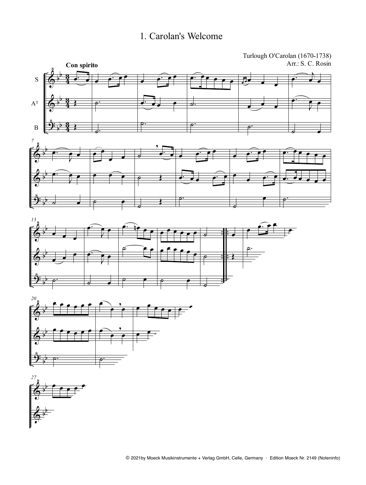#### 1. Carolan's Welcome







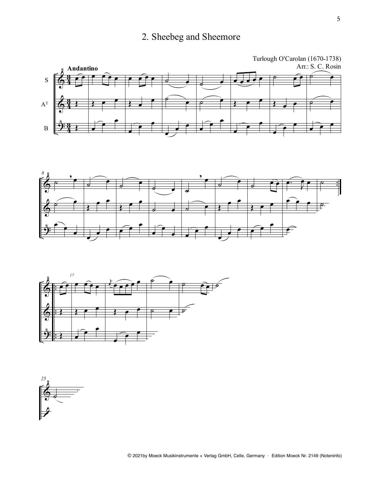## 2. Sheebeg and Sheemore







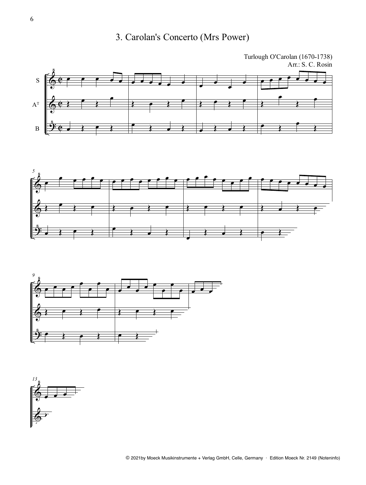## 3. Carolan's Concerto (Mrs Power)







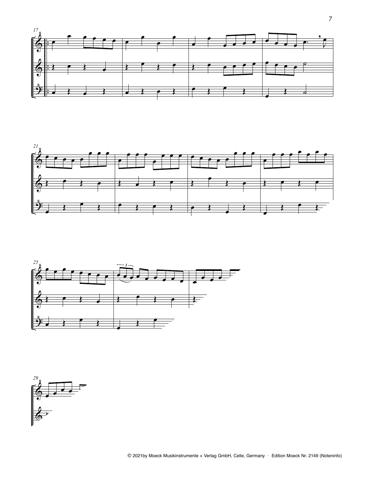





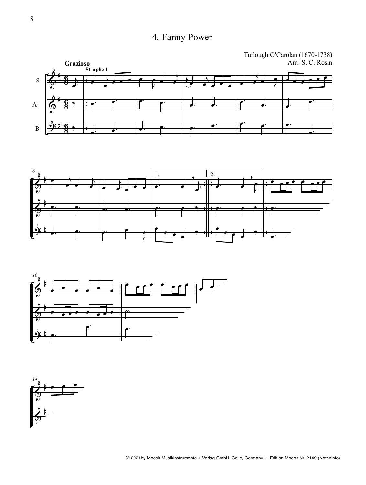## 4. Fanny Power

Turlough O'Carolan (1670-1738) Arr.: S. C. Rosin







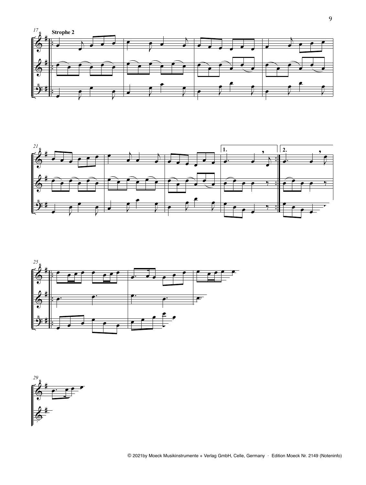





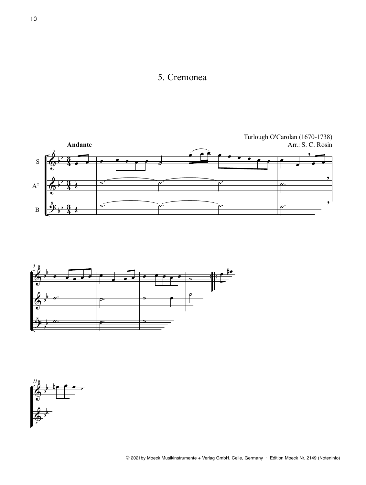#### 5. Cremonea





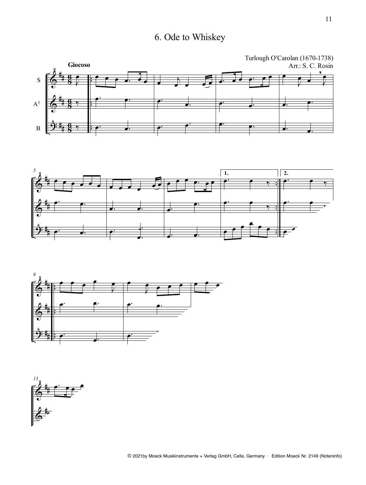# 6. Ode to Whiskey